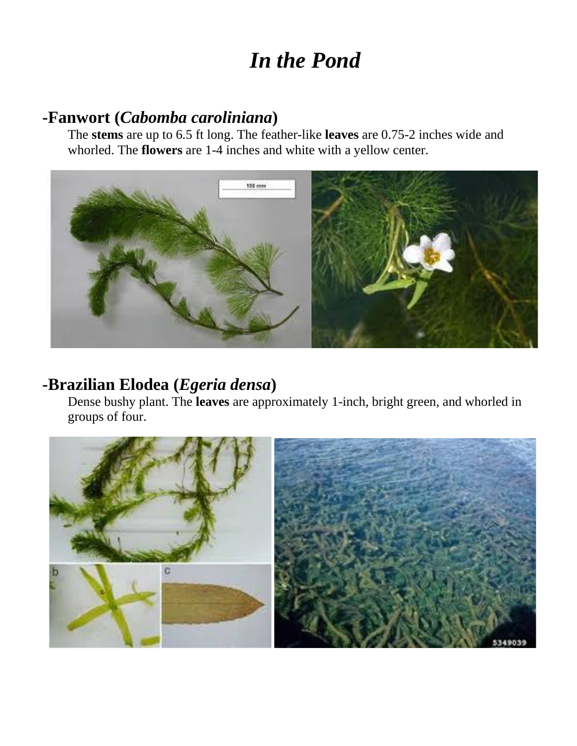# *In the Pond*

#### **-Fanwort (***Cabomba caroliniana***)**

The **stems** are up to 6.5 ft long. The feather-like **leaves** are 0.75-2 inches wide and whorled. The **flowers** are 1-4 inches and white with a yellow center.



#### **-Brazilian Elodea (***Egeria densa***)**

Dense bushy plant. The **leaves** are approximately 1-inch, bright green, and whorled in groups of four.

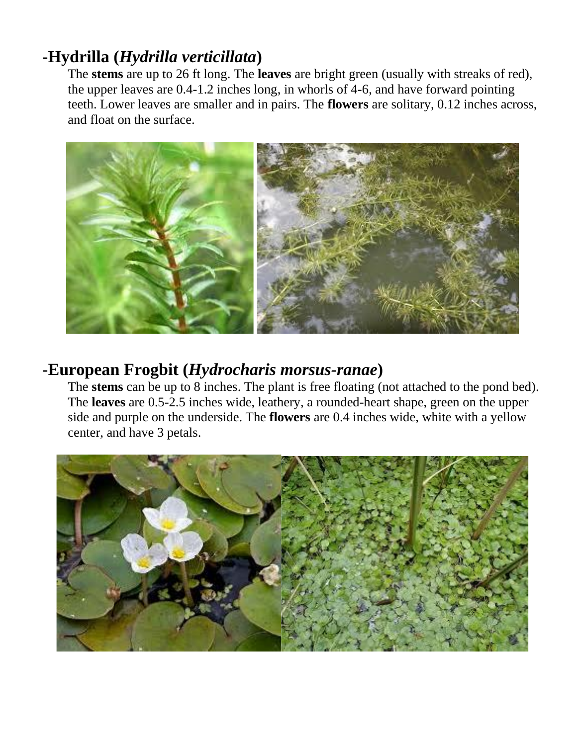# **-Hydrilla (***Hydrilla verticillata***)**

The **stems** are up to 26 ft long. The **leaves** are bright green (usually with streaks of red), the upper leaves are 0.4-1.2 inches long, in whorls of 4-6, and have forward pointing teeth. Lower leaves are smaller and in pairs. The **flowers** are solitary, 0.12 inches across, and float on the surface.



#### **-European Frogbit (***Hydrocharis morsus-ranae***)**

The **stems** can be up to 8 inches. The plant is free floating (not attached to the pond bed). The **leaves** are 0.5-2.5 inches wide, leathery, a rounded-heart shape, green on the upper side and purple on the underside. The **flowers** are 0.4 inches wide, white with a yellow center, and have 3 petals.

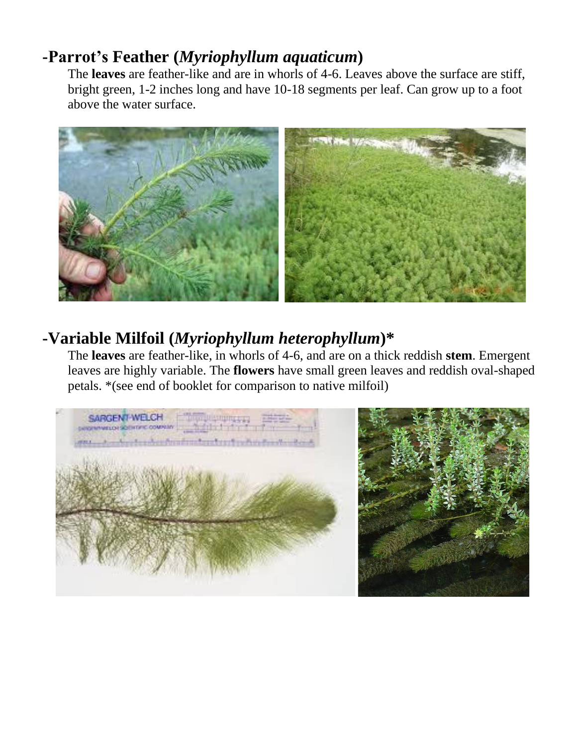# **-Parrot's Feather (***Myriophyllum aquaticum***)**

The **leaves** are feather-like and are in whorls of 4-6. Leaves above the surface are stiff, bright green, 1-2 inches long and have 10-18 segments per leaf. Can grow up to a foot above the water surface.



# **-Variable Milfoil (***Myriophyllum heterophyllum***)\***

The **leaves** are feather-like, in whorls of 4-6, and are on a thick reddish **stem**. Emergent leaves are highly variable. The **flowers** have small green leaves and reddish oval-shaped petals. \*(see end of booklet for comparison to native milfoil)

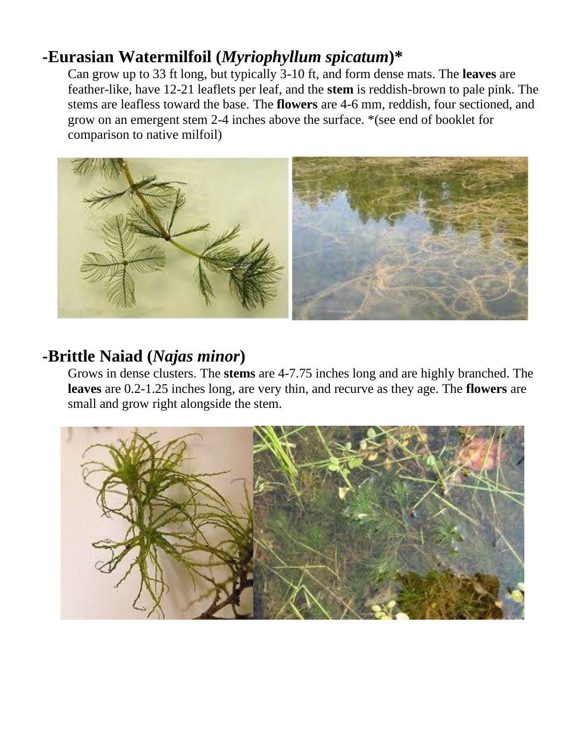# **-Eurasian Watermilfoil (***Myriophyllum spicatum***)\***

Can grow up to 33 ft long, but typically 3-10 ft, and form dense mats. The **leaves** are feather-like, have 12-21 leaflets per leaf, and the **stem** is reddish-brown to pale pink. The stems are leafless toward the base. The **flowers** are 4-6 mm, reddish, four sectioned, and grow on an emergent stem 2-4 inches above the surface. \*(see end of booklet for comparison to native milfoil)



# **-Brittle Naiad (***Najas minor***)**

Grows in dense clusters. The **stems** are 4-7.75 inches long and are highly branched. The **leaves** are 0.2-1.25 inches long, are very thin, and recurve as they age. The **flowers** are small and grow right alongside the stem.

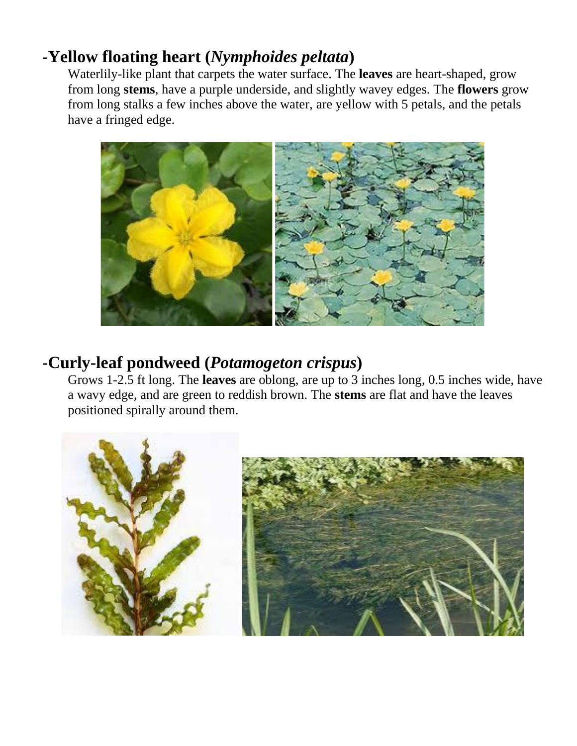# **-Yellow floating heart (***Nymphoides peltata***)**

Waterlily-like plant that carpets the water surface. The **leaves** are heart-shaped, grow from long **stems**, have a purple underside, and slightly wavey edges. The **flowers** grow from long stalks a few inches above the water, are yellow with 5 petals, and the petals have a fringed edge.



#### **-Curly-leaf pondweed (***Potamogeton crispus***)**

Grows 1-2.5 ft long. The **leaves** are oblong, are up to 3 inches long, 0.5 inches wide, have a wavy edge, and are green to reddish brown. The **stems** are flat and have the leaves positioned spirally around them.

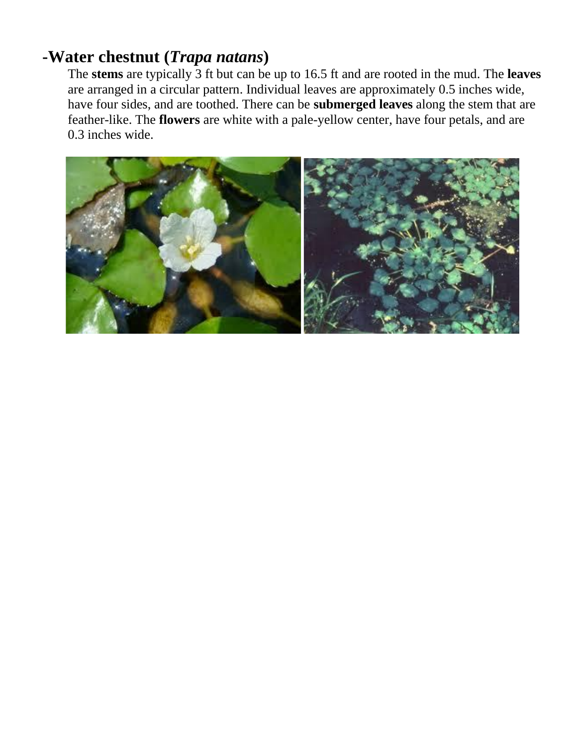#### **-Water chestnut (***Trapa natans***)**

The **stems** are typically 3 ft but can be up to 16.5 ft and are rooted in the mud. The **leaves** are arranged in a circular pattern. Individual leaves are approximately 0.5 inches wide, have four sides, and are toothed. There can be **submerged leaves** along the stem that are feather-like. The **flowers** are white with a pale-yellow center, have four petals, and are 0.3 inches wide.

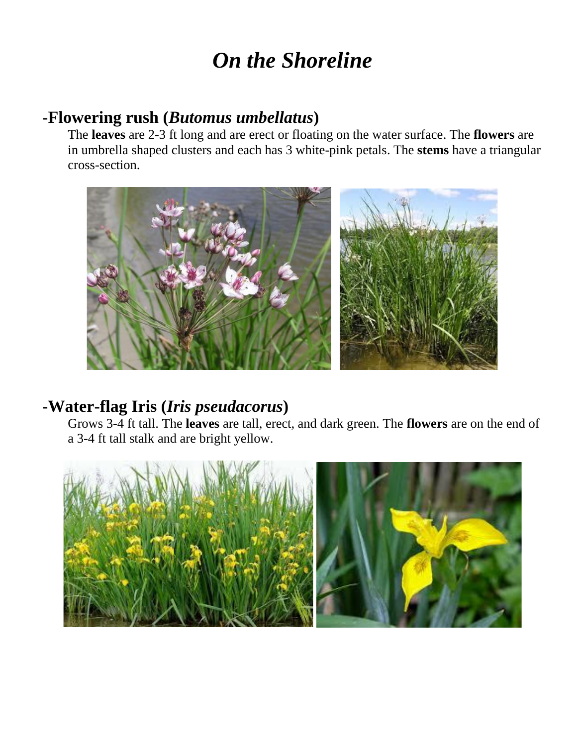# *On the Shoreline*

### **-Flowering rush (***Butomus umbellatus***)**

The **leaves** are 2-3 ft long and are erect or floating on the water surface. The **flowers** are in umbrella shaped clusters and each has 3 white-pink petals. The **stems** have a triangular cross-section.



# **-Water-flag Iris (***Iris pseudacorus***)**

Grows 3-4 ft tall. The **leaves** are tall, erect, and dark green. The **flowers** are on the end of a 3-4 ft tall stalk and are bright yellow.

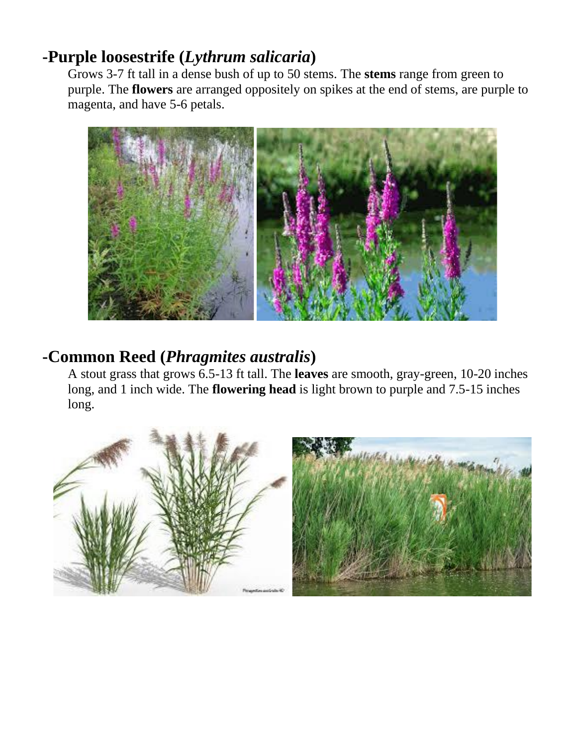# **-Purple loosestrife (***Lythrum salicaria***)**

Grows 3-7 ft tall in a dense bush of up to 50 stems. The **stems** range from green to purple. The **flowers** are arranged oppositely on spikes at the end of stems, are purple to magenta, and have 5-6 petals.



### **-Common Reed (***Phragmites australis***)**

A stout grass that grows 6.5-13 ft tall. The **leaves** are smooth, gray-green, 10-20 inches long, and 1 inch wide. The **flowering head** is light brown to purple and 7.5-15 inches long.

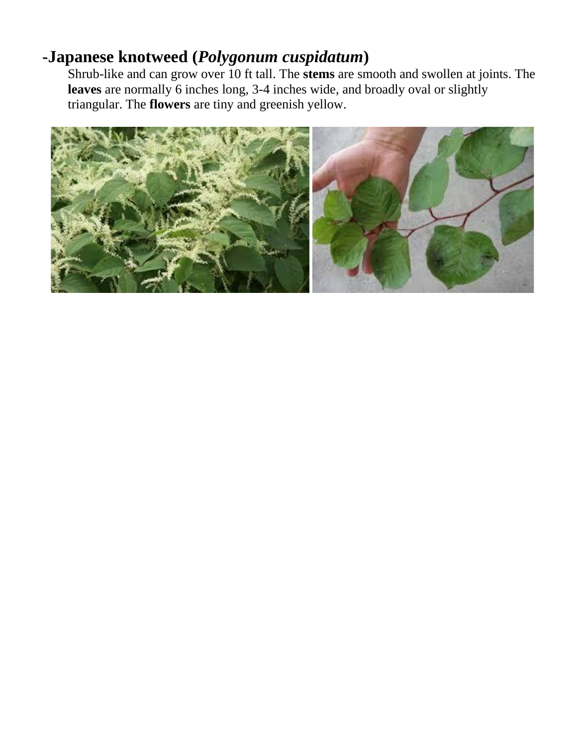# **-Japanese knotweed (***Polygonum cuspidatum***)**

Shrub-like and can grow over 10 ft tall. The **stems** are smooth and swollen at joints. The **leaves** are normally 6 inches long, 3-4 inches wide, and broadly oval or slightly triangular. The **flowers** are tiny and greenish yellow.

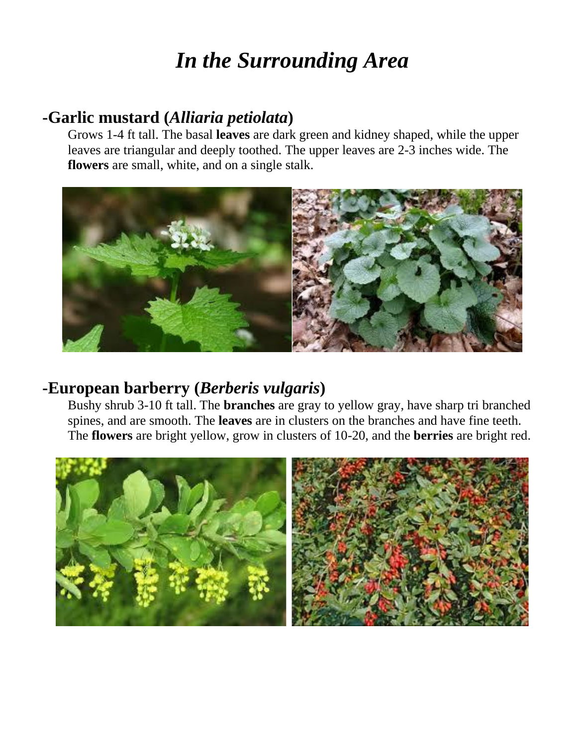# *In the Surrounding Area*

#### **-Garlic mustard (***Alliaria petiolata***)**

Grows 1-4 ft tall. The basal **leaves** are dark green and kidney shaped, while the upper leaves are triangular and deeply toothed. The upper leaves are 2-3 inches wide. The **flowers** are small, white, and on a single stalk.



#### **-European barberry (***Berberis vulgaris***)**

Bushy shrub 3-10 ft tall. The **branches** are gray to yellow gray, have sharp tri branched spines, and are smooth. The **leaves** are in clusters on the branches and have fine teeth. The **flowers** are bright yellow, grow in clusters of 10-20, and the **berries** are bright red.

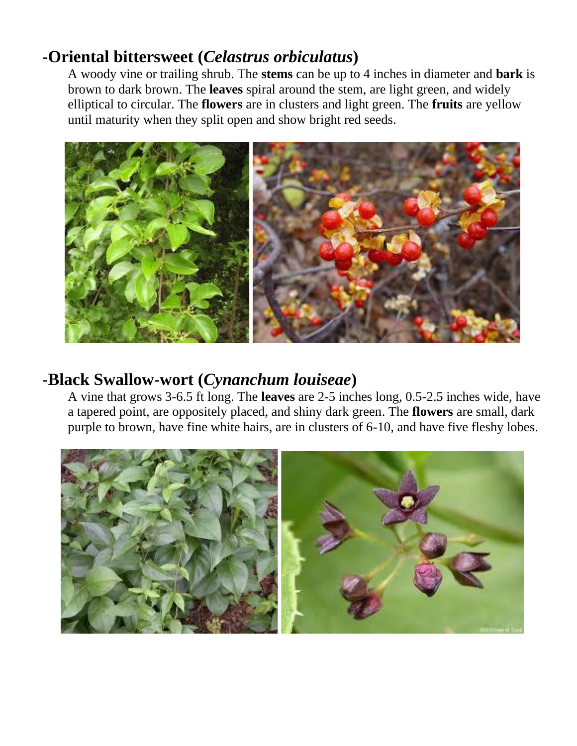# **-Oriental bittersweet (***Celastrus orbiculatus***)**

A woody vine or trailing shrub. The **stems** can be up to 4 inches in diameter and **bark** is brown to dark brown. The **leaves** spiral around the stem, are light green, and widely elliptical to circular. The **flowers** are in clusters and light green. The **fruits** are yellow until maturity when they split open and show bright red seeds.



#### **-Black Swallow-wort (***Cynanchum louiseae***)**

A vine that grows 3-6.5 ft long. The **leaves** are 2-5 inches long, 0.5-2.5 inches wide, have a tapered point, are oppositely placed, and shiny dark green. The **flowers** are small, dark purple to brown, have fine white hairs, are in clusters of 6-10, and have five fleshy lobes.

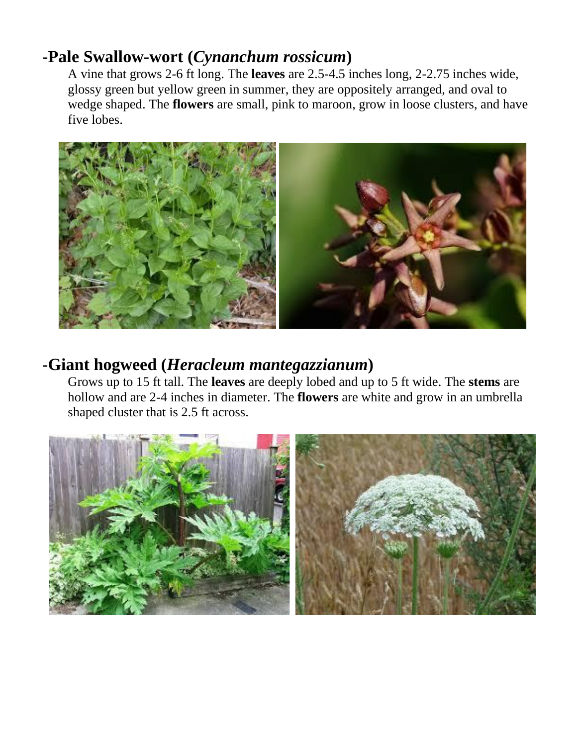# **-Pale Swallow-wort (***Cynanchum rossicum***)**

A vine that grows 2-6 ft long. The **leaves** are 2.5-4.5 inches long, 2-2.75 inches wide, glossy green but yellow green in summer, they are oppositely arranged, and oval to wedge shaped. The **flowers** are small, pink to maroon, grow in loose clusters, and have five lobes.



#### **-Giant hogweed (***Heracleum mantegazzianum***)**

Grows up to 15 ft tall. The **leaves** are deeply lobed and up to 5 ft wide. The **stems** are hollow and are 2-4 inches in diameter. The **flowers** are white and grow in an umbrella shaped cluster that is 2.5 ft across.

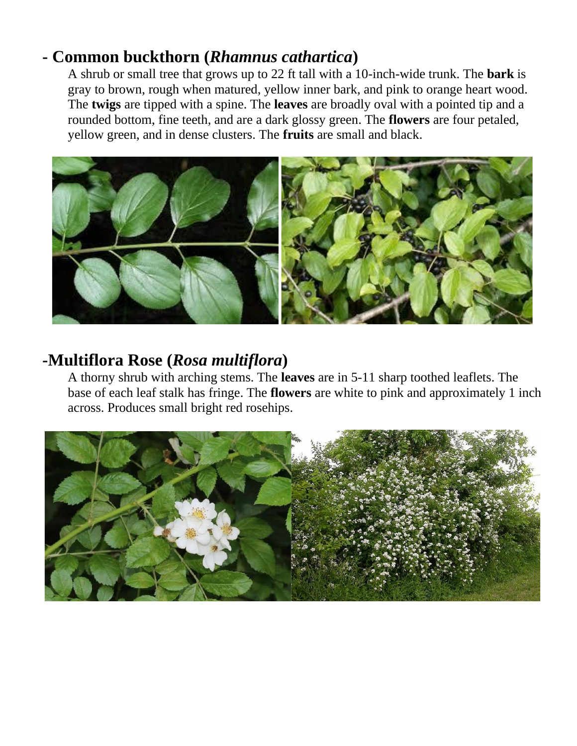# **- Common buckthorn (***Rhamnus cathartica***)**

A shrub or small tree that grows up to 22 ft tall with a 10-inch-wide trunk. The **bark** is gray to brown, rough when matured, yellow inner bark, and pink to orange heart wood. The **twigs** are tipped with a spine. The **leaves** are broadly oval with a pointed tip and a rounded bottom, fine teeth, and are a dark glossy green. The **flowers** are four petaled, yellow green, and in dense clusters. The **fruits** are small and black.



# **-Multiflora Rose (***Rosa multiflora***)**

A thorny shrub with arching stems. The **leaves** are in 5-11 sharp toothed leaflets. The base of each leaf stalk has fringe. The **flowers** are white to pink and approximately 1 inch across. Produces small bright red rosehips.